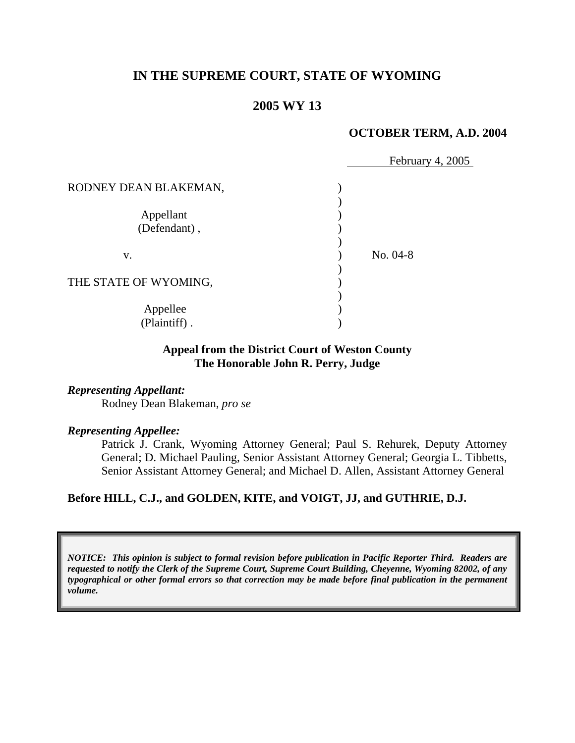# **IN THE SUPREME COURT, STATE OF WYOMING**

# **2005 WY 13**

### **OCTOBER TERM, A.D. 2004**

|                       | February 4, 2005 |  |
|-----------------------|------------------|--|
| RODNEY DEAN BLAKEMAN, |                  |  |
|                       |                  |  |
| Appellant             |                  |  |
| (Defendant),          |                  |  |
|                       |                  |  |
| V.                    | $No. 04-8$       |  |
|                       |                  |  |
| THE STATE OF WYOMING, |                  |  |
|                       |                  |  |
| Appellee              |                  |  |
| (Plaintiff).          |                  |  |
|                       |                  |  |

### **Appeal from the District Court of Weston County The Honorable John R. Perry, Judge**

#### *Representing Appellant:*

Rodney Dean Blakeman, *pro se*

#### *Representing Appellee:*

Patrick J. Crank, Wyoming Attorney General; Paul S. Rehurek, Deputy Attorney General; D. Michael Pauling, Senior Assistant Attorney General; Georgia L. Tibbetts, Senior Assistant Attorney General; and Michael D. Allen, Assistant Attorney General

#### **Before HILL, C.J., and GOLDEN, KITE, and VOIGT, JJ, and GUTHRIE, D.J.**

*NOTICE: This opinion is subject to formal revision before publication in Pacific Reporter Third. Readers are requested to notify the Clerk of the Supreme Court, Supreme Court Building, Cheyenne, Wyoming 82002, of any typographical or other formal errors so that correction may be made before final publication in the permanent volume.*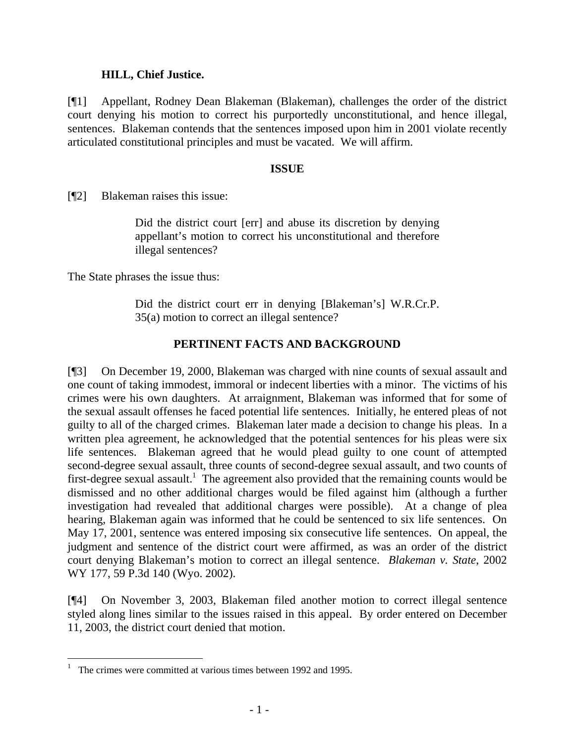## **HILL, Chief Justice.**

[¶1] Appellant, Rodney Dean Blakeman (Blakeman), challenges the order of the district court denying his motion to correct his purportedly unconstitutional, and hence illegal, sentences. Blakeman contends that the sentences imposed upon him in 2001 violate recently articulated constitutional principles and must be vacated. We will affirm.

### **ISSUE**

[¶2] Blakeman raises this issue:

Did the district court [err] and abuse its discretion by denying appellant's motion to correct his unconstitutional and therefore illegal sentences?

The State phrases the issue thus:

Did the district court err in denying [Blakeman's] W.R.Cr.P. 35(a) motion to correct an illegal sentence?

## **PERTINENT FACTS AND BACKGROUND**

[¶3] On December 19, 2000, Blakeman was charged with nine counts of sexual assault and one count of taking immodest, immoral or indecent liberties with a minor. The victims of his crimes were his own daughters. At arraignment, Blakeman was informed that for some of the sexual assault offenses he faced potential life sentences. Initially, he entered pleas of not guilty to all of the charged crimes. Blakeman later made a decision to change his pleas. In a written plea agreement, he acknowledged that the potential sentences for his pleas were six life sentences. Blakeman agreed that he would plead guilty to one count of attempted second-degree sexual assault, three counts of second-degree sexual assault, and two counts of first-degree sexual assault.<sup>[1](#page-2-0)</sup> The agreement also provided that the remaining counts would be dismissed and no other additional charges would be filed against him (although a further investigation had revealed that additional charges were possible). At a change of plea hearing, Blakeman again was informed that he could be sentenced to six life sentences. On May 17, 2001, sentence was entered imposing six consecutive life sentences. On appeal, the judgment and sentence of the district court were affirmed, as was an order of the district court denying Blakeman's motion to correct an illegal sentence. *Blakeman v. State*, 2002 WY 177, 59 P.3d 140 (Wyo. 2002).

[¶4] On November 3, 2003, Blakeman filed another motion to correct illegal sentence styled along lines similar to the issues raised in this appeal. By order entered on December 11, 2003, the district court denied that motion.

 $\overline{a}$ 

<span id="page-2-0"></span><sup>1</sup> The crimes were committed at various times between 1992 and 1995.